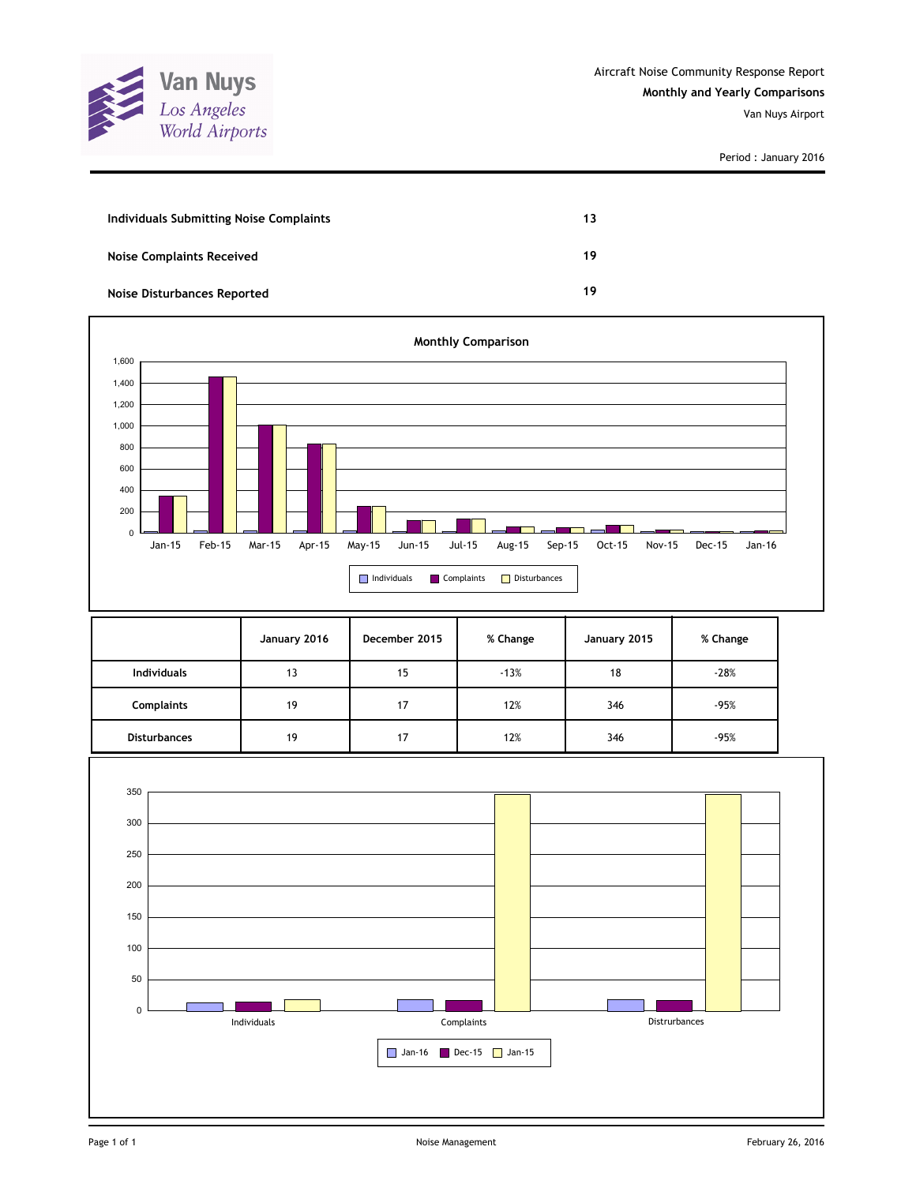

Period : January 2016

| Individuals Submitting Noise Complaints | 13 |
|-----------------------------------------|----|
| <b>Noise Complaints Received</b>        | 19 |
| Noise Disturbances Reported             | 19 |



|                     | January 2016 | December 2015 | % Change | January 2015 | % Change |
|---------------------|--------------|---------------|----------|--------------|----------|
| <b>Individuals</b>  | 13           | 15            | $-13%$   | 18           | $-28%$   |
| <b>Complaints</b>   | 19           | 17            | 12%      | 346          | -95%     |
| <b>Disturbances</b> | 19           | 17            | 12%      | 346          | $-95%$   |

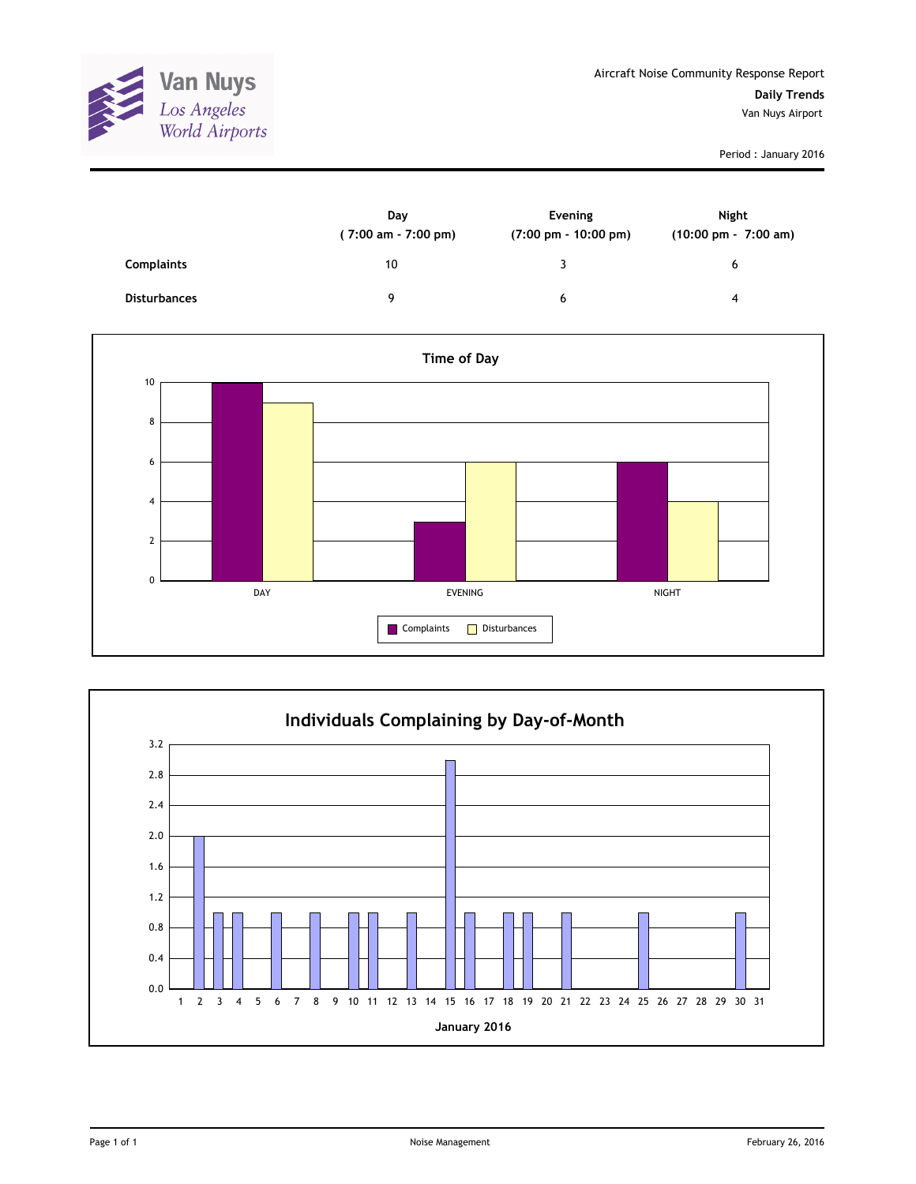

Period : January 2016

|                     | Day<br>$(7:00 \text{ am} - 7:00 \text{ pm})$ | Evening<br>$(7:00 \text{ pm} - 10:00 \text{ pm})$ | Night<br>(10:00 pm - 7:00 am) |
|---------------------|----------------------------------------------|---------------------------------------------------|-------------------------------|
| Complaints          | 10                                           | ર                                                 | 6                             |
| <b>Disturbances</b> | Q                                            | 6                                                 | 4                             |



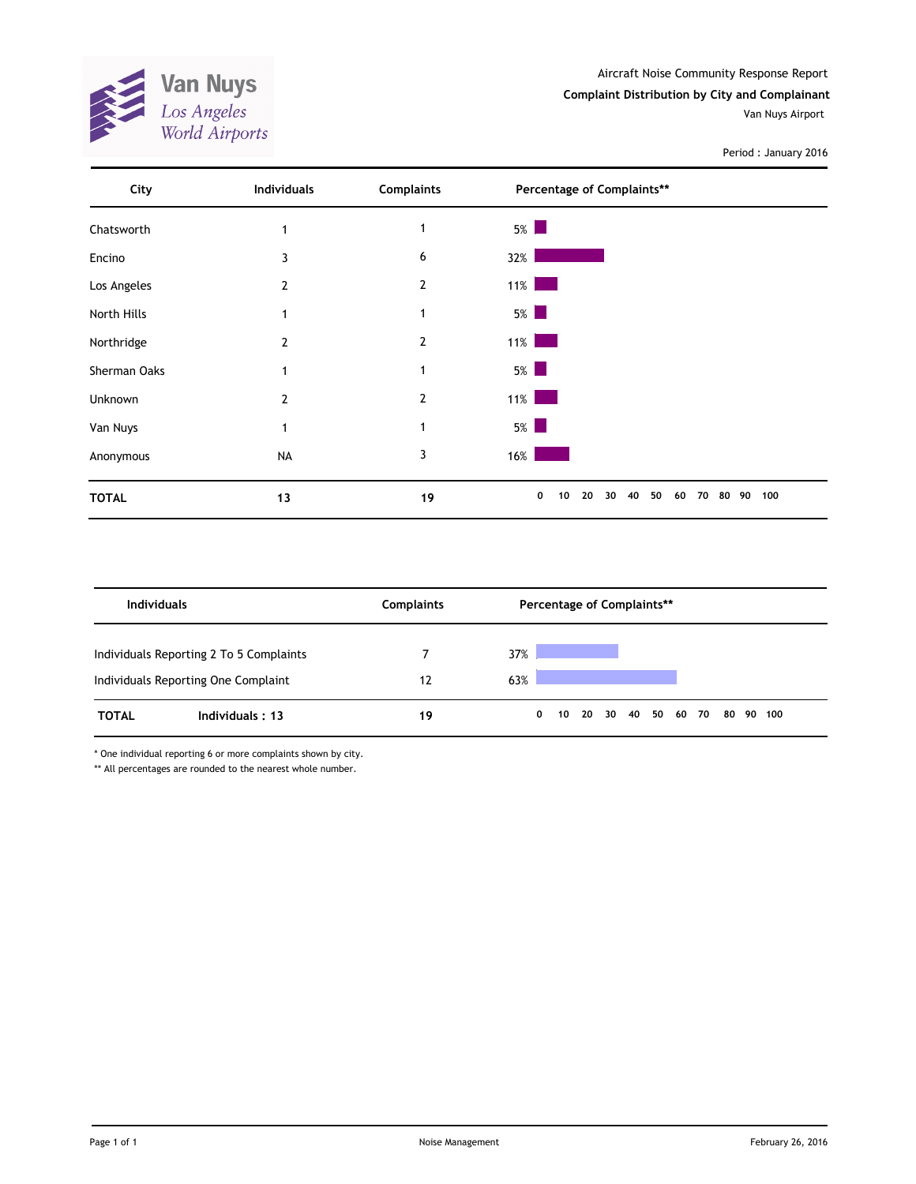**Van Nuys**<br>Los Angeles<br>World Airports X

Period : January 2016

| City         | Individuals    | <b>Complaints</b> | Percentage of Complaints**                                                                                               |  |
|--------------|----------------|-------------------|--------------------------------------------------------------------------------------------------------------------------|--|
| Chatsworth   | 1              | 1                 | $5\%$                                                                                                                    |  |
| Encino       | 3              | 6                 | 32%                                                                                                                      |  |
| Los Angeles  | $\overline{2}$ | $\overline{2}$    | $11\%$<br>and the state of the state of the state of the state of the state of the state of the state of the state of th |  |
| North Hills  | 1              | 1                 | $5\%$                                                                                                                    |  |
| Northridge   | 2              | $\overline{2}$    | $11\%$                                                                                                                   |  |
| Sherman Oaks |                | 1                 | $5\%$                                                                                                                    |  |
| Unknown      | 2              | 2                 | $11\%$<br>and the state of the state of the state of the state of the state of the state of the state of the state of th |  |
| Van Nuys     |                | 1                 | $5\%$                                                                                                                    |  |
| Anonymous    | <b>NA</b>      | 3                 | $16\%$                                                                                                                   |  |
| <b>TOTAL</b> | 13             | 19                | 50<br>100<br>0<br>20<br>30<br>40<br>80 90<br>10<br>60<br>70                                                              |  |

| <b>Individuals</b> |                                                                                | <b>Complaints</b> |            |   |                 |  | Percentage of Complaints** |  |    |        |  |
|--------------------|--------------------------------------------------------------------------------|-------------------|------------|---|-----------------|--|----------------------------|--|----|--------|--|
|                    | Individuals Reporting 2 To 5 Complaints<br>Individuals Reporting One Complaint | 12                | 37%<br>63% |   |                 |  |                            |  |    |        |  |
| <b>TOTAL</b>       | Individuals: 13                                                                | 19                |            | 0 | 10 <sup>1</sup> |  | 20 30 40 50 60 70          |  | 80 | 90 100 |  |

\* One individual reporting 6 or more complaints shown by city.

\*\* All percentages are rounded to the nearest whole number.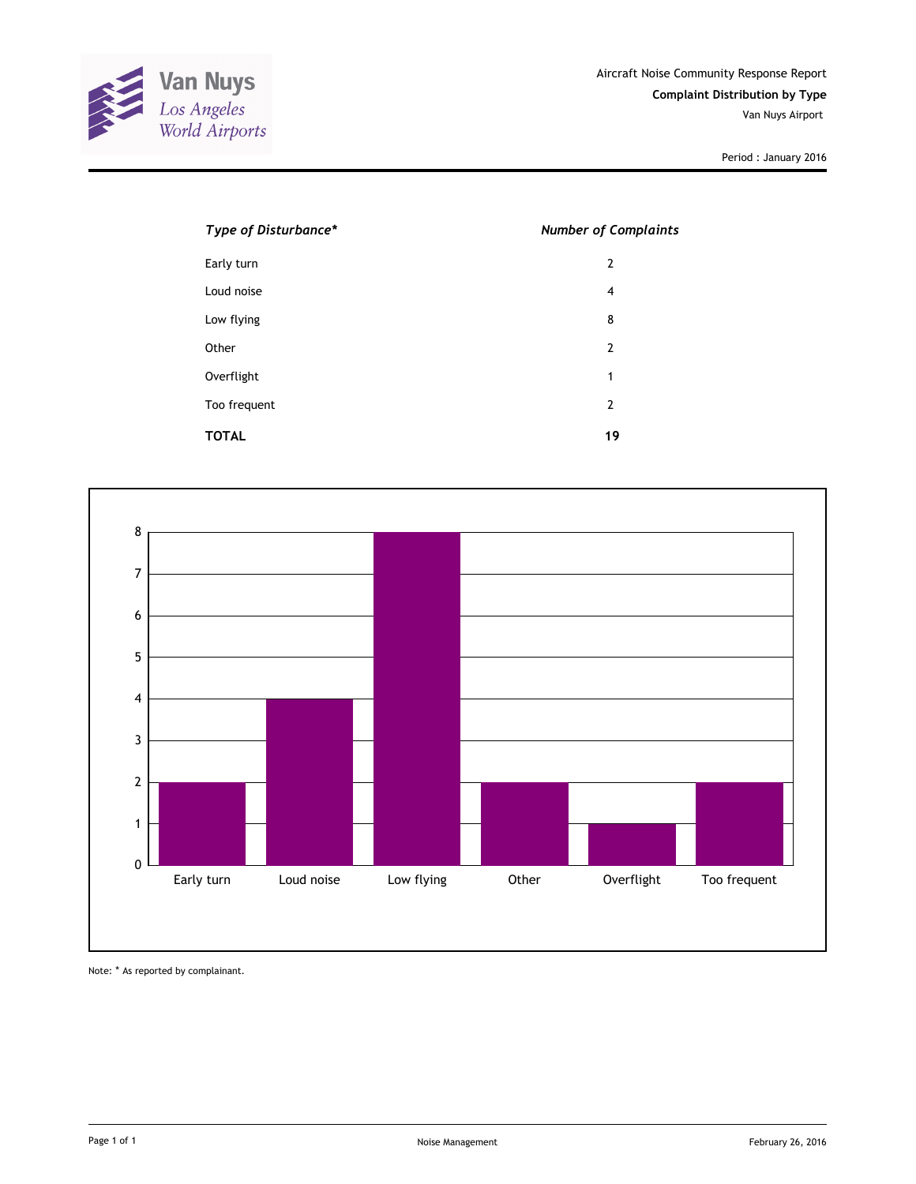

Period : January 2016

| Type of Disturbance* | <b>Number of Complaints</b> |
|----------------------|-----------------------------|
| Early turn           | $\overline{2}$              |
| Loud noise           | 4                           |
| Low flying           | 8                           |
| Other                | $\overline{2}$              |
| Overflight           | 1                           |
| Too frequent         | $\overline{2}$              |
| <b>TOTAL</b>         | 19                          |



Note: \* As reported by complainant.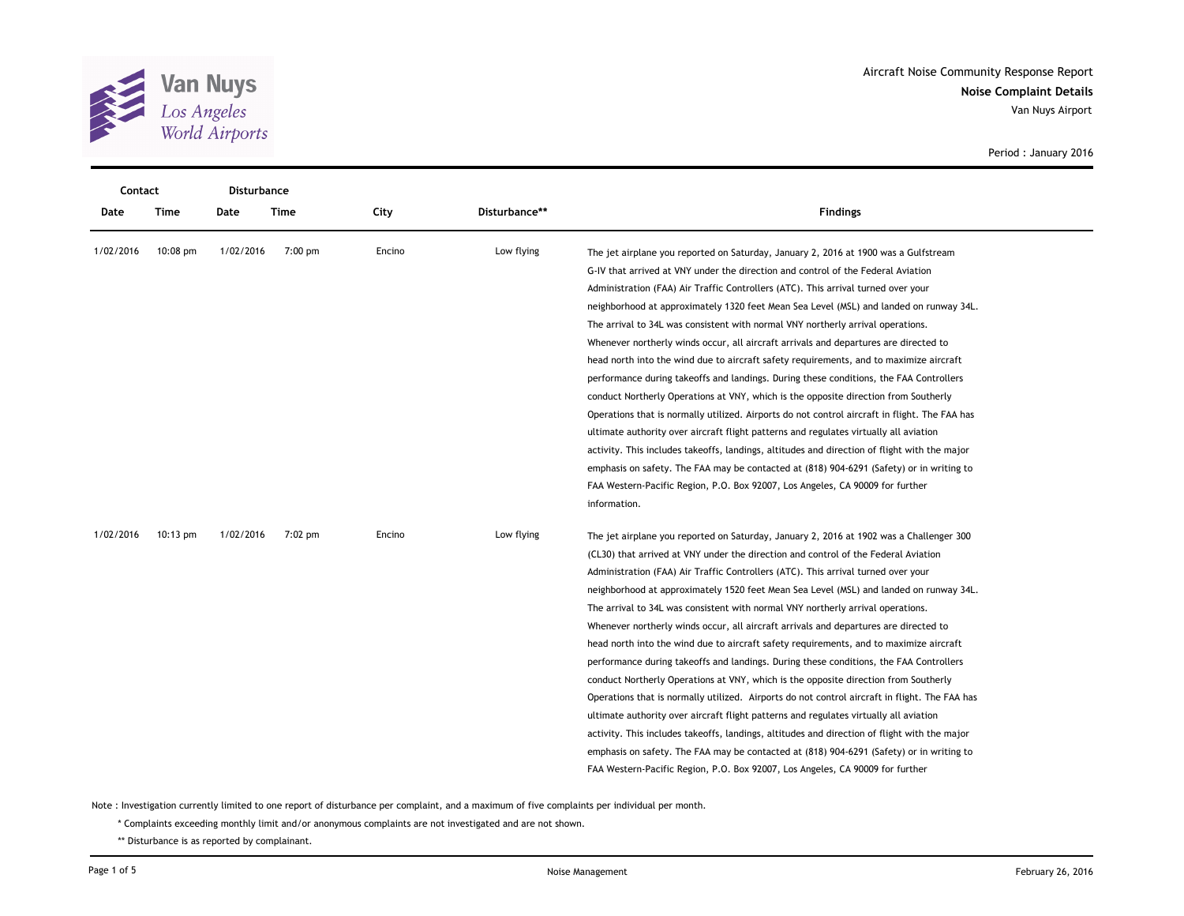

**Noise Complaint Details** Aircraft Noise Community Response Report Van Nuys Airport

| Contact   | Disturbance |           |           |        |               |                                                                                                                                                                                                                                                                                                                                                                                                                                                                                                                                                                                                                                                                                                                                                                                                                                                                                                                                                                                                                                                                                                                                                                                                                                                                                           |
|-----------|-------------|-----------|-----------|--------|---------------|-------------------------------------------------------------------------------------------------------------------------------------------------------------------------------------------------------------------------------------------------------------------------------------------------------------------------------------------------------------------------------------------------------------------------------------------------------------------------------------------------------------------------------------------------------------------------------------------------------------------------------------------------------------------------------------------------------------------------------------------------------------------------------------------------------------------------------------------------------------------------------------------------------------------------------------------------------------------------------------------------------------------------------------------------------------------------------------------------------------------------------------------------------------------------------------------------------------------------------------------------------------------------------------------|
| Date      | Time        | Date      | Time      | City   | Disturbance** | <b>Findings</b>                                                                                                                                                                                                                                                                                                                                                                                                                                                                                                                                                                                                                                                                                                                                                                                                                                                                                                                                                                                                                                                                                                                                                                                                                                                                           |
| 1/02/2016 | $10:08$ pm  | 1/02/2016 | $7:00$ pm | Encino | Low flying    | The jet airplane you reported on Saturday, January 2, 2016 at 1900 was a Gulfstream<br>G-IV that arrived at VNY under the direction and control of the Federal Aviation<br>Administration (FAA) Air Traffic Controllers (ATC). This arrival turned over your<br>neighborhood at approximately 1320 feet Mean Sea Level (MSL) and landed on runway 34L.<br>The arrival to 34L was consistent with normal VNY northerly arrival operations.<br>Whenever northerly winds occur, all aircraft arrivals and departures are directed to<br>head north into the wind due to aircraft safety requirements, and to maximize aircraft<br>performance during takeoffs and landings. During these conditions, the FAA Controllers                                                                                                                                                                                                                                                                                                                                                                                                                                                                                                                                                                     |
|           |             |           |           |        |               | conduct Northerly Operations at VNY, which is the opposite direction from Southerly<br>Operations that is normally utilized. Airports do not control aircraft in flight. The FAA has<br>ultimate authority over aircraft flight patterns and regulates virtually all aviation<br>activity. This includes takeoffs, landings, altitudes and direction of flight with the major<br>emphasis on safety. The FAA may be contacted at (818) 904-6291 (Safety) or in writing to<br>FAA Western-Pacific Region, P.O. Box 92007, Los Angeles, CA 90009 for further<br>information.                                                                                                                                                                                                                                                                                                                                                                                                                                                                                                                                                                                                                                                                                                                |
| 1/02/2016 | $10:13$ pm  | 1/02/2016 | $7:02$ pm | Encino | Low flying    | The jet airplane you reported on Saturday, January 2, 2016 at 1902 was a Challenger 300<br>(CL30) that arrived at VNY under the direction and control of the Federal Aviation<br>Administration (FAA) Air Traffic Controllers (ATC). This arrival turned over your<br>neighborhood at approximately 1520 feet Mean Sea Level (MSL) and landed on runway 34L.<br>The arrival to 34L was consistent with normal VNY northerly arrival operations.<br>Whenever northerly winds occur, all aircraft arrivals and departures are directed to<br>head north into the wind due to aircraft safety requirements, and to maximize aircraft<br>performance during takeoffs and landings. During these conditions, the FAA Controllers<br>conduct Northerly Operations at VNY, which is the opposite direction from Southerly<br>Operations that is normally utilized. Airports do not control aircraft in flight. The FAA has<br>ultimate authority over aircraft flight patterns and regulates virtually all aviation<br>activity. This includes takeoffs, landings, altitudes and direction of flight with the major<br>emphasis on safety. The FAA may be contacted at (818) 904-6291 (Safety) or in writing to<br>FAA Western-Pacific Region, P.O. Box 92007, Los Angeles, CA 90009 for further |

Note : Investigation currently limited to one report of disturbance per complaint, and a maximum of five complaints per individual per month.

\* Complaints exceeding monthly limit and/or anonymous complaints are not investigated and are not shown.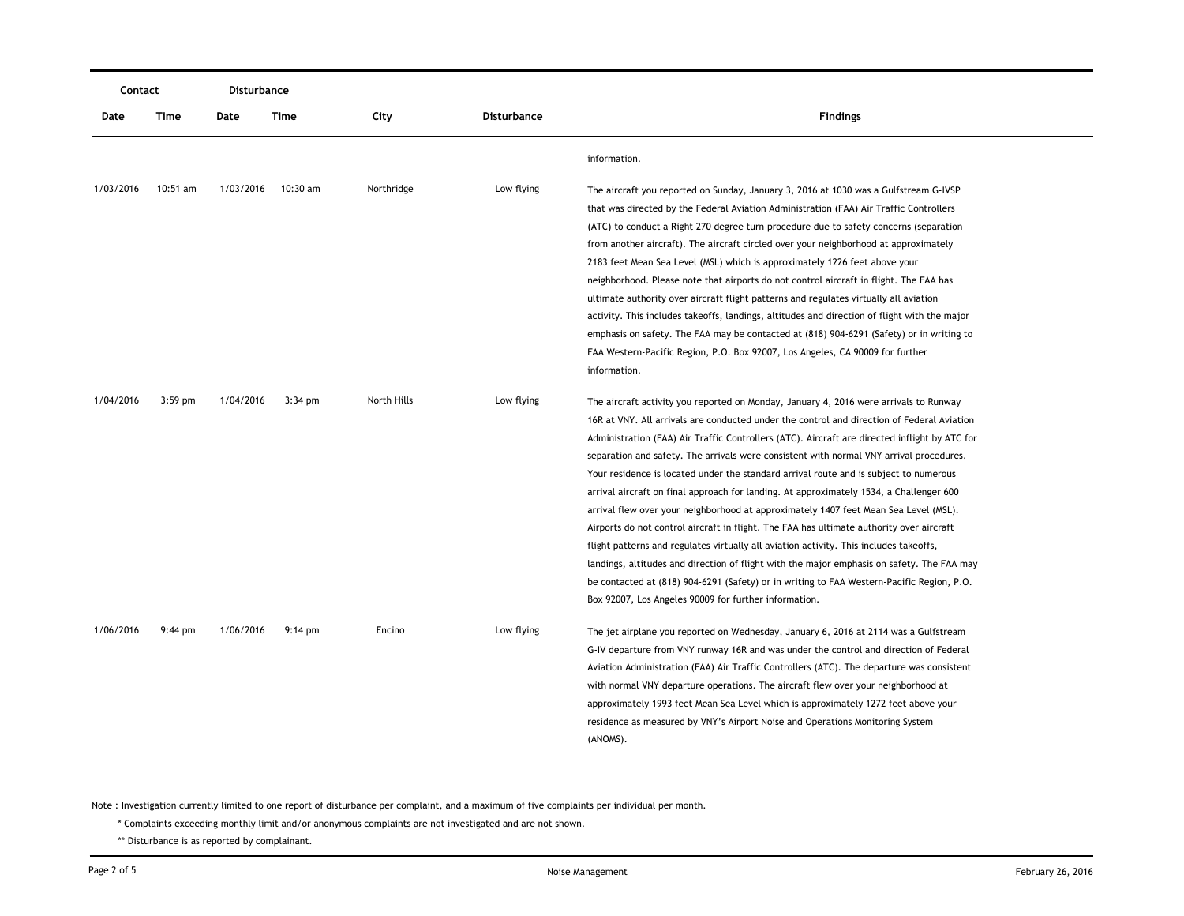| Contact   | Disturbance       |           |                   |             |             |                                                                                                                                                                                                                                                                                                                                                                                                                                                                                                                                                                                                                                                                                                                                                                                                                                                                                                                                                                                                                                                                                                       |
|-----------|-------------------|-----------|-------------------|-------------|-------------|-------------------------------------------------------------------------------------------------------------------------------------------------------------------------------------------------------------------------------------------------------------------------------------------------------------------------------------------------------------------------------------------------------------------------------------------------------------------------------------------------------------------------------------------------------------------------------------------------------------------------------------------------------------------------------------------------------------------------------------------------------------------------------------------------------------------------------------------------------------------------------------------------------------------------------------------------------------------------------------------------------------------------------------------------------------------------------------------------------|
| Date      | Time              | Date      | Time              | City        | Disturbance | <b>Findings</b>                                                                                                                                                                                                                                                                                                                                                                                                                                                                                                                                                                                                                                                                                                                                                                                                                                                                                                                                                                                                                                                                                       |
|           |                   |           |                   |             |             | information.                                                                                                                                                                                                                                                                                                                                                                                                                                                                                                                                                                                                                                                                                                                                                                                                                                                                                                                                                                                                                                                                                          |
| 1/03/2016 | 10:51 am          | 1/03/2016 | 10:30 am          | Northridge  | Low flying  | The aircraft you reported on Sunday, January 3, 2016 at 1030 was a Gulfstream G-IVSP<br>that was directed by the Federal Aviation Administration (FAA) Air Traffic Controllers<br>(ATC) to conduct a Right 270 degree turn procedure due to safety concerns (separation<br>from another aircraft). The aircraft circled over your neighborhood at approximately<br>2183 feet Mean Sea Level (MSL) which is approximately 1226 feet above your<br>neighborhood. Please note that airports do not control aircraft in flight. The FAA has<br>ultimate authority over aircraft flight patterns and regulates virtually all aviation<br>activity. This includes takeoffs, landings, altitudes and direction of flight with the major<br>emphasis on safety. The FAA may be contacted at (818) 904-6291 (Safety) or in writing to<br>FAA Western-Pacific Region, P.O. Box 92007, Los Angeles, CA 90009 for further<br>information.                                                                                                                                                                         |
| 1/04/2016 | $3:59$ pm         | 1/04/2016 | $3:34$ pm         | North Hills | Low flying  | The aircraft activity you reported on Monday, January 4, 2016 were arrivals to Runway<br>16R at VNY. All arrivals are conducted under the control and direction of Federal Aviation<br>Administration (FAA) Air Traffic Controllers (ATC). Aircraft are directed inflight by ATC for<br>separation and safety. The arrivals were consistent with normal VNY arrival procedures.<br>Your residence is located under the standard arrival route and is subject to numerous<br>arrival aircraft on final approach for landing. At approximately 1534, a Challenger 600<br>arrival flew over your neighborhood at approximately 1407 feet Mean Sea Level (MSL).<br>Airports do not control aircraft in flight. The FAA has ultimate authority over aircraft<br>flight patterns and regulates virtually all aviation activity. This includes takeoffs,<br>landings, altitudes and direction of flight with the major emphasis on safety. The FAA may<br>be contacted at (818) 904-6291 (Safety) or in writing to FAA Western-Pacific Region, P.O.<br>Box 92007, Los Angeles 90009 for further information. |
| 1/06/2016 | $9:44 \text{ pm}$ | 1/06/2016 | $9:14 \text{ pm}$ | Encino      | Low flying  | The jet airplane you reported on Wednesday, January 6, 2016 at 2114 was a Gulfstream<br>G-IV departure from VNY runway 16R and was under the control and direction of Federal<br>Aviation Administration (FAA) Air Traffic Controllers (ATC). The departure was consistent<br>with normal VNY departure operations. The aircraft flew over your neighborhood at<br>approximately 1993 feet Mean Sea Level which is approximately 1272 feet above your<br>residence as measured by VNY's Airport Noise and Operations Monitoring System<br>(ANOMS).                                                                                                                                                                                                                                                                                                                                                                                                                                                                                                                                                    |

\* Complaints exceeding monthly limit and/or anonymous complaints are not investigated and are not shown.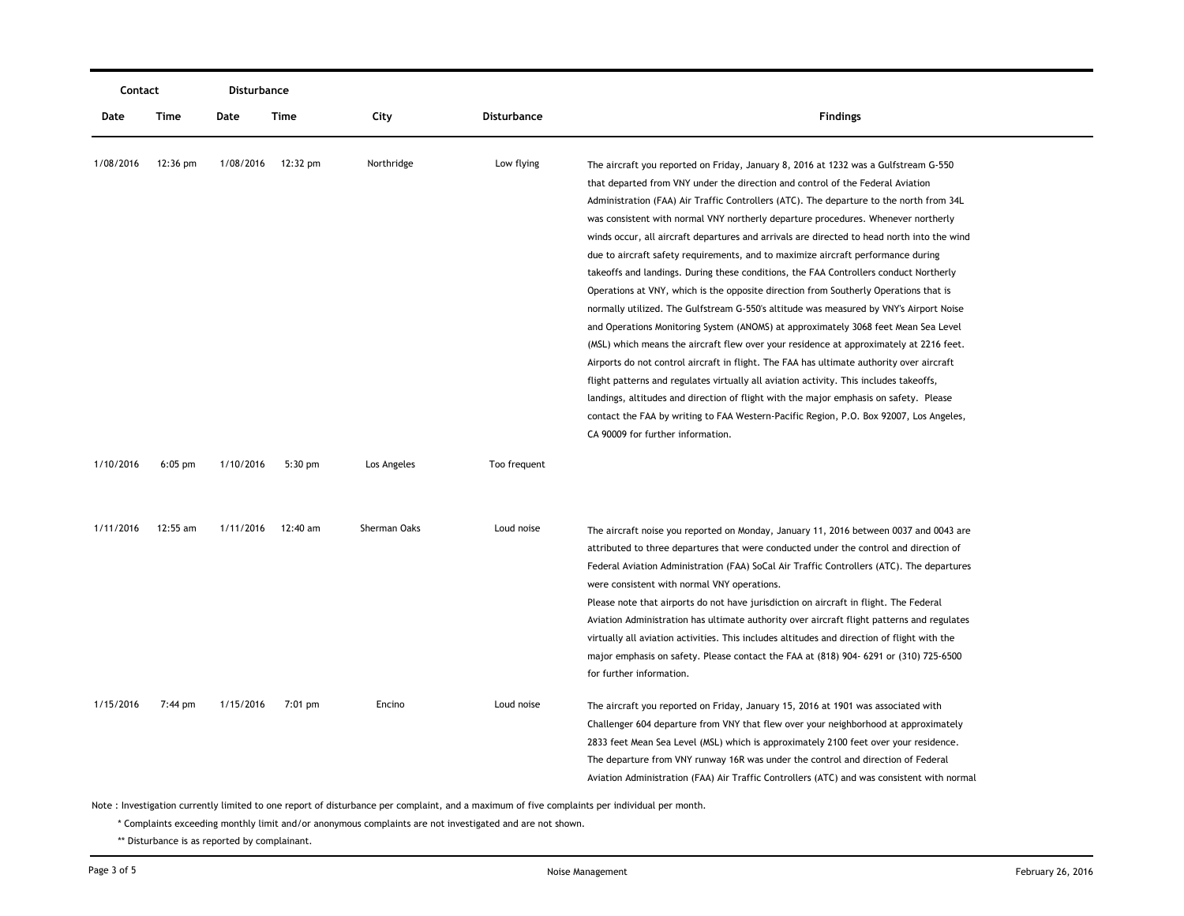|           | Contact<br>Disturbance |           |          |              |                    |                                                                                                                                                                                                                                                                                                                                                                                                                                                                                                                                                                                                                                                                                                                                                                                                                                                                                                                                                                                                                                                                                                                                                                                                                                                                                                                                                                                                                  |
|-----------|------------------------|-----------|----------|--------------|--------------------|------------------------------------------------------------------------------------------------------------------------------------------------------------------------------------------------------------------------------------------------------------------------------------------------------------------------------------------------------------------------------------------------------------------------------------------------------------------------------------------------------------------------------------------------------------------------------------------------------------------------------------------------------------------------------------------------------------------------------------------------------------------------------------------------------------------------------------------------------------------------------------------------------------------------------------------------------------------------------------------------------------------------------------------------------------------------------------------------------------------------------------------------------------------------------------------------------------------------------------------------------------------------------------------------------------------------------------------------------------------------------------------------------------------|
| Date      | Time                   | Date      | Time     | City         | <b>Disturbance</b> | <b>Findings</b>                                                                                                                                                                                                                                                                                                                                                                                                                                                                                                                                                                                                                                                                                                                                                                                                                                                                                                                                                                                                                                                                                                                                                                                                                                                                                                                                                                                                  |
| 1/08/2016 | $12:36 \text{ pm}$     | 1/08/2016 | 12:32 pm | Northridge   | Low flying         | The aircraft you reported on Friday, January 8, 2016 at 1232 was a Gulfstream G-550<br>that departed from VNY under the direction and control of the Federal Aviation<br>Administration (FAA) Air Traffic Controllers (ATC). The departure to the north from 34L<br>was consistent with normal VNY northerly departure procedures. Whenever northerly<br>winds occur, all aircraft departures and arrivals are directed to head north into the wind<br>due to aircraft safety requirements, and to maximize aircraft performance during<br>takeoffs and landings. During these conditions, the FAA Controllers conduct Northerly<br>Operations at VNY, which is the opposite direction from Southerly Operations that is<br>normally utilized. The Gulfstream G-550's altitude was measured by VNY's Airport Noise<br>and Operations Monitoring System (ANOMS) at approximately 3068 feet Mean Sea Level<br>(MSL) which means the aircraft flew over your residence at approximately at 2216 feet.<br>Airports do not control aircraft in flight. The FAA has ultimate authority over aircraft<br>flight patterns and regulates virtually all aviation activity. This includes takeoffs,<br>landings, altitudes and direction of flight with the major emphasis on safety. Please<br>contact the FAA by writing to FAA Western-Pacific Region, P.O. Box 92007, Los Angeles,<br>CA 90009 for further information. |
| 1/10/2016 | $6:05$ pm              | 1/10/2016 | 5:30 pm  | Los Angeles  | Too frequent       |                                                                                                                                                                                                                                                                                                                                                                                                                                                                                                                                                                                                                                                                                                                                                                                                                                                                                                                                                                                                                                                                                                                                                                                                                                                                                                                                                                                                                  |
| 1/11/2016 | 12:55 am               | 1/11/2016 | 12:40 am | Sherman Oaks | Loud noise         | The aircraft noise you reported on Monday, January 11, 2016 between 0037 and 0043 are<br>attributed to three departures that were conducted under the control and direction of<br>Federal Aviation Administration (FAA) SoCal Air Traffic Controllers (ATC). The departures<br>were consistent with normal VNY operations.<br>Please note that airports do not have jurisdiction on aircraft in flight. The Federal<br>Aviation Administration has ultimate authority over aircraft flight patterns and regulates<br>virtually all aviation activities. This includes altitudes and direction of flight with the<br>major emphasis on safety. Please contact the FAA at (818) 904- 6291 or (310) 725-6500<br>for further information.                                                                                                                                                                                                                                                                                                                                                                                                                                                                                                                                                                                                                                                                            |
| 1/15/2016 | 7:44 pm                | 1/15/2016 | 7:01 pm  | Encino       | Loud noise         | The aircraft you reported on Friday, January 15, 2016 at 1901 was associated with<br>Challenger 604 departure from VNY that flew over your neighborhood at approximately<br>2833 feet Mean Sea Level (MSL) which is approximately 2100 feet over your residence.<br>The departure from VNY runway 16R was under the control and direction of Federal<br>Aviation Administration (FAA) Air Traffic Controllers (ATC) and was consistent with normal                                                                                                                                                                                                                                                                                                                                                                                                                                                                                                                                                                                                                                                                                                                                                                                                                                                                                                                                                               |

\* Complaints exceeding monthly limit and/or anonymous complaints are not investigated and are not shown.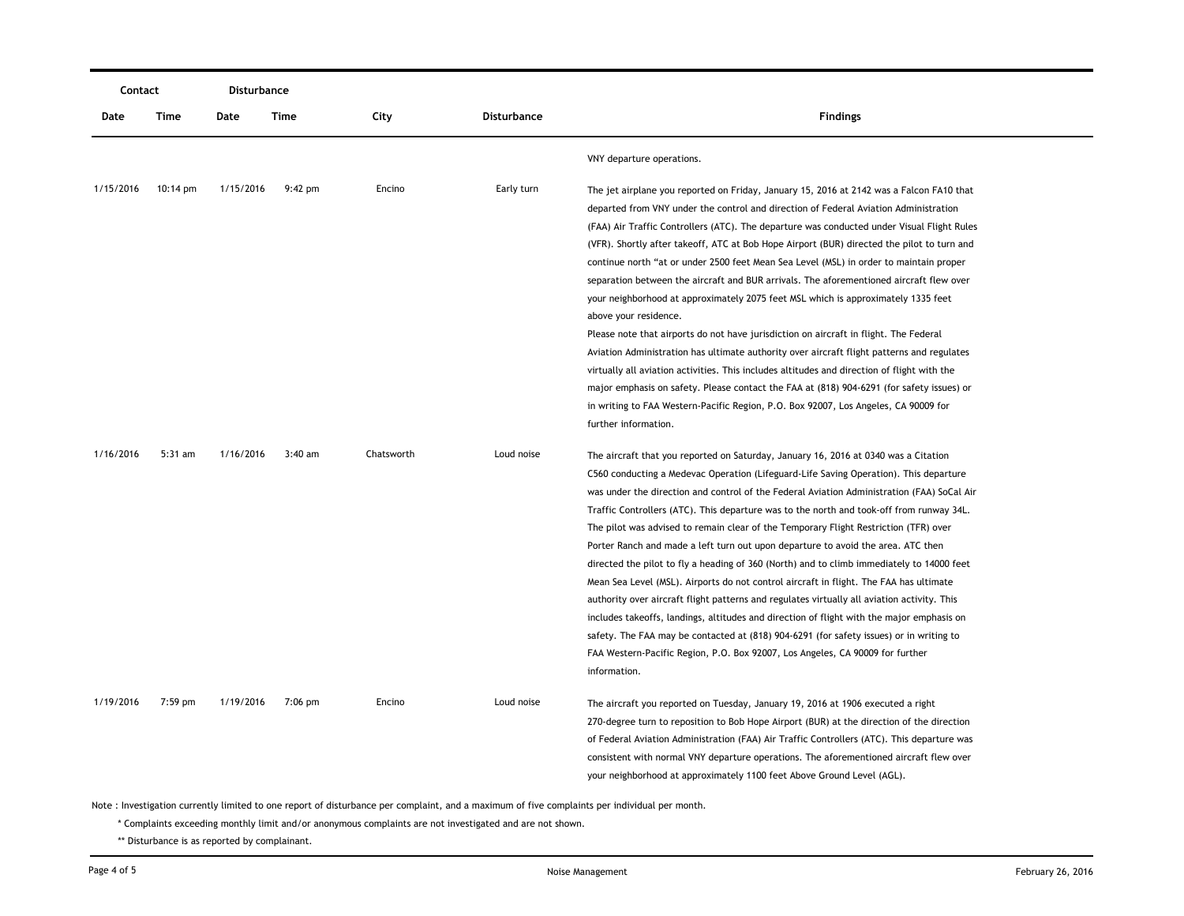| Contact   |                    | Disturbance |           |            |                    |                                                                                                                                                                                                                                                                                                                                                                                                                                                                                                                                                                                                                                                                                                                                                                                                                                                                                                                                                                                                                                                                                                                                                                                   |
|-----------|--------------------|-------------|-----------|------------|--------------------|-----------------------------------------------------------------------------------------------------------------------------------------------------------------------------------------------------------------------------------------------------------------------------------------------------------------------------------------------------------------------------------------------------------------------------------------------------------------------------------------------------------------------------------------------------------------------------------------------------------------------------------------------------------------------------------------------------------------------------------------------------------------------------------------------------------------------------------------------------------------------------------------------------------------------------------------------------------------------------------------------------------------------------------------------------------------------------------------------------------------------------------------------------------------------------------|
| Date      | Time               | Date        | Time      | City       | <b>Disturbance</b> | <b>Findings</b>                                                                                                                                                                                                                                                                                                                                                                                                                                                                                                                                                                                                                                                                                                                                                                                                                                                                                                                                                                                                                                                                                                                                                                   |
|           |                    |             |           |            |                    | VNY departure operations.                                                                                                                                                                                                                                                                                                                                                                                                                                                                                                                                                                                                                                                                                                                                                                                                                                                                                                                                                                                                                                                                                                                                                         |
| 1/15/2016 | $10:14 \text{ pm}$ | 1/15/2016   | $9:42$ pm | Encino     | Early turn         | The jet airplane you reported on Friday, January 15, 2016 at 2142 was a Falcon FA10 that<br>departed from VNY under the control and direction of Federal Aviation Administration<br>(FAA) Air Traffic Controllers (ATC). The departure was conducted under Visual Flight Rules<br>(VFR). Shortly after takeoff, ATC at Bob Hope Airport (BUR) directed the pilot to turn and<br>continue north "at or under 2500 feet Mean Sea Level (MSL) in order to maintain proper<br>separation between the aircraft and BUR arrivals. The aforementioned aircraft flew over<br>your neighborhood at approximately 2075 feet MSL which is approximately 1335 feet<br>above your residence.<br>Please note that airports do not have jurisdiction on aircraft in flight. The Federal<br>Aviation Administration has ultimate authority over aircraft flight patterns and regulates<br>virtually all aviation activities. This includes altitudes and direction of flight with the<br>major emphasis on safety. Please contact the FAA at (818) 904-6291 (for safety issues) or<br>in writing to FAA Western-Pacific Region, P.O. Box 92007, Los Angeles, CA 90009 for<br>further information. |
| 1/16/2016 | $5:31$ am          | 1/16/2016   | $3:40$ am | Chatsworth | Loud noise         | The aircraft that you reported on Saturday, January 16, 2016 at 0340 was a Citation<br>C560 conducting a Medevac Operation (Lifeguard-Life Saving Operation). This departure<br>was under the direction and control of the Federal Aviation Administration (FAA) SoCal Air<br>Traffic Controllers (ATC). This departure was to the north and took-off from runway 34L.<br>The pilot was advised to remain clear of the Temporary Flight Restriction (TFR) over<br>Porter Ranch and made a left turn out upon departure to avoid the area. ATC then<br>directed the pilot to fly a heading of 360 (North) and to climb immediately to 14000 feet<br>Mean Sea Level (MSL). Airports do not control aircraft in flight. The FAA has ultimate<br>authority over aircraft flight patterns and regulates virtually all aviation activity. This<br>includes takeoffs, landings, altitudes and direction of flight with the major emphasis on<br>safety. The FAA may be contacted at (818) 904-6291 (for safety issues) or in writing to<br>FAA Western-Pacific Region, P.O. Box 92007, Los Angeles, CA 90009 for further<br>information.                                                 |
| 1/19/2016 | 7:59 pm            | 1/19/2016   | 7:06 pm   | Encino     | Loud noise         | The aircraft you reported on Tuesday, January 19, 2016 at 1906 executed a right<br>270-degree turn to reposition to Bob Hope Airport (BUR) at the direction of the direction<br>of Federal Aviation Administration (FAA) Air Traffic Controllers (ATC). This departure was<br>consistent with normal VNY departure operations. The aforementioned aircraft flew over<br>your neighborhood at approximately 1100 feet Above Ground Level (AGL).                                                                                                                                                                                                                                                                                                                                                                                                                                                                                                                                                                                                                                                                                                                                    |

\* Complaints exceeding monthly limit and/or anonymous complaints are not investigated and are not shown.